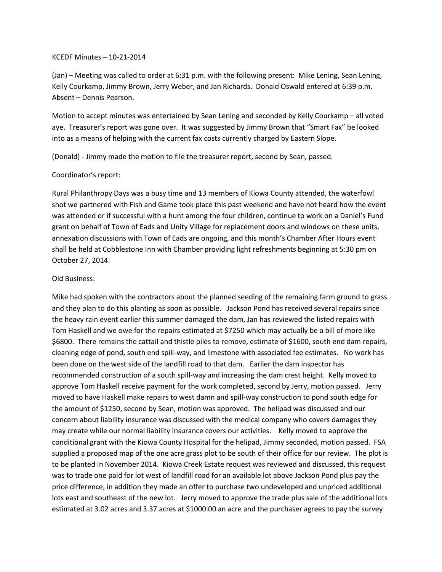## KCEDF Minutes – 10-21-2014

(Jan) – Meeting was called to order at 6:31 p.m. with the following present: Mike Lening, Sean Lening, Kelly Courkamp, Jimmy Brown, Jerry Weber, and Jan Richards. Donald Oswald entered at 6:39 p.m. Absent – Dennis Pearson.

Motion to accept minutes was entertained by Sean Lening and seconded by Kelly Courkamp – all voted aye. Treasurer's report was gone over. It was suggested by Jimmy Brown that "Smart Fax" be looked into as a means of helping with the current fax costs currently charged by Eastern Slope.

(Donald) - Jimmy made the motion to file the treasurer report, second by Sean, passed.

## Coordinator's report:

Rural Philanthropy Days was a busy time and 13 members of Kiowa County attended, the waterfowl shot we partnered with Fish and Game took place this past weekend and have not heard how the event was attended or if successful with a hunt among the four children, continue to work on a Daniel's Fund grant on behalf of Town of Eads and Unity Village for replacement doors and windows on these units, annexation discussions with Town of Eads are ongoing, and this month's Chamber After Hours event shall be held at Cobblestone Inn with Chamber providing light refreshments beginning at 5:30 pm on October 27, 2014.

## Old Business:

Mike had spoken with the contractors about the planned seeding of the remaining farm ground to grass and they plan to do this planting as soon as possible. Jackson Pond has received several repairs since the heavy rain event earlier this summer damaged the dam, Jan has reviewed the listed repairs with Tom Haskell and we owe for the repairs estimated at \$7250 which may actually be a bill of more like \$6800. There remains the cattail and thistle piles to remove, estimate of \$1600, south end dam repairs, cleaning edge of pond, south end spill-way, and limestone with associated fee estimates. No work has been done on the west side of the landfill road to that dam. Earlier the dam inspector has recommended construction of a south spill-way and increasing the dam crest height. Kelly moved to approve Tom Haskell receive payment for the work completed, second by Jerry, motion passed. Jerry moved to have Haskell make repairs to west damn and spill-way construction to pond south edge for the amount of \$1250, second by Sean, motion was approved. The helipad was discussed and our concern about liability insurance was discussed with the medical company who covers damages they may create while our normal liability insurance covers our activities. Kelly moved to approve the conditional grant with the Kiowa County Hospital for the helipad, Jimmy seconded, motion passed. FSA supplied a proposed map of the one acre grass plot to be south of their office for our review. The plot is to be planted in November 2014. Kiowa Creek Estate request was reviewed and discussed, this request was to trade one paid for lot west of landfill road for an available lot above Jackson Pond plus pay the price difference, in addition they made an offer to purchase two undeveloped and unpriced additional lots east and southeast of the new lot. Jerry moved to approve the trade plus sale of the additional lots estimated at 3.02 acres and 3.37 acres at \$1000.00 an acre and the purchaser agrees to pay the survey